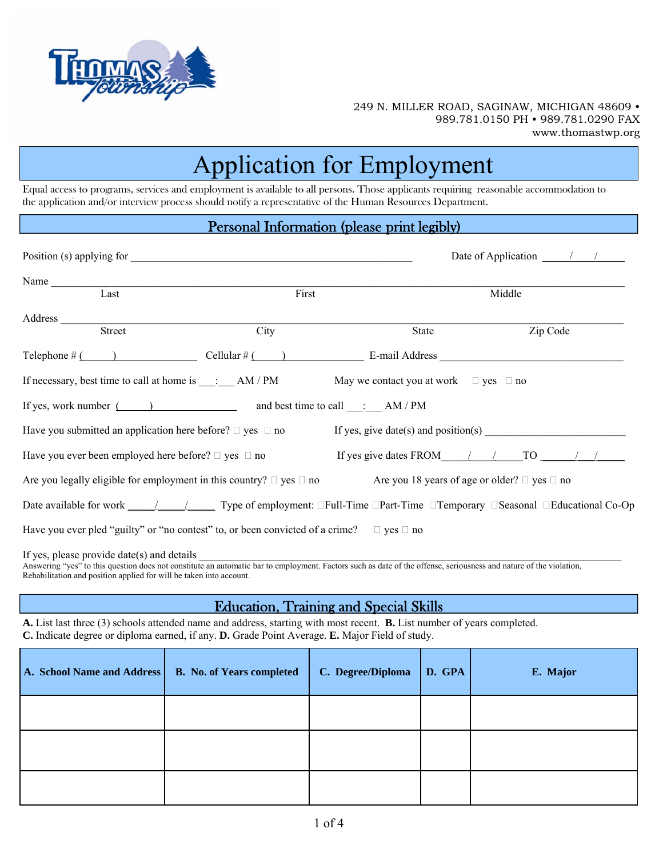

# Application for Employment

Equal access to programs, services and employment is available to all persons. Those applicants requiring reasonable accommodation to the application and/or interview process should notify a representative of the Human Resources Department.

#### Personal Information (please print legibly)

|                                                                                                                                                                                                                                                                                                                                      |       |                                                 | Date of Application $\frac{\ }{\ }$ / / |  |
|--------------------------------------------------------------------------------------------------------------------------------------------------------------------------------------------------------------------------------------------------------------------------------------------------------------------------------------|-------|-------------------------------------------------|-----------------------------------------|--|
|                                                                                                                                                                                                                                                                                                                                      |       |                                                 |                                         |  |
| Last                                                                                                                                                                                                                                                                                                                                 | First |                                                 | Middle                                  |  |
|                                                                                                                                                                                                                                                                                                                                      |       |                                                 |                                         |  |
| Street                                                                                                                                                                                                                                                                                                                               | City  | State                                           | Zip Code                                |  |
| Telephone $\#$ $\qquad$ $\qquad$ $\qquad$ $\qquad$ $\qquad$ $\qquad$ $\qquad$ $\qquad$ $\qquad$ $\qquad$ $\qquad$ $\qquad$ $\qquad$ $\qquad$ $\qquad$ $\qquad$ $\qquad$ $\qquad$ $\qquad$ $\qquad$ $\qquad$ $\qquad$ $\qquad$ $\qquad$ $\qquad$ $\qquad$ $\qquad$ $\qquad$ $\qquad$ $\qquad$ $\qquad$ $\qquad$ $\qquad$ $\qquad$ $\$ |       |                                                 |                                         |  |
|                                                                                                                                                                                                                                                                                                                                      |       |                                                 |                                         |  |
| If yes, work number ( ) and best time to call $\therefore$ AM / PM                                                                                                                                                                                                                                                                   |       |                                                 |                                         |  |
| Have you submitted an application here before? $\square$ yes $\square$ no If yes, give date(s) and position(s)                                                                                                                                                                                                                       |       |                                                 |                                         |  |
| Have you ever been employed here before? $\Box$ yes $\Box$ no                                                                                                                                                                                                                                                                        |       | If yes give dates FROM $\angle$ / TO $\angle$ / |                                         |  |
| Are you legally eligible for employment in this country? $\Box$ yes $\Box$ no Are you 18 years of age or older? $\Box$ yes $\Box$ no                                                                                                                                                                                                 |       |                                                 |                                         |  |
| Date available for work $\sqrt{1 - (1 - 1)^2}$ Type of employment: $\Box$ Full-Time $\Box$ Part-Time $\Box$ Temporary $\Box$ Seasonal $\Box$ Educational Co-Op                                                                                                                                                                       |       |                                                 |                                         |  |
| Have you ever pled "guilty" or "no contest" to, or been convicted of a crime? $\Box$ yes $\Box$ no                                                                                                                                                                                                                                   |       |                                                 |                                         |  |
| If yes, please provide date(s) and details<br>Answering "yes" to this question does not constitute an automatic bar to employment. Factors such as date of the offense, seriousness and nature of the violation,                                                                                                                     |       |                                                 |                                         |  |

Rehabilitation and position applied for will be taken into account.

#### Education, Training and Special Skills

**A.** List last three (3) schools attended name and address, starting with most recent. **B.** List number of years completed. **C.** Indicate degree or diploma earned, if any. **D.** Grade Point Average. **E.** Major Field of study.

| A. School Name and Address | <b>B.</b> No. of Years completed | C. Degree/Diploma | D. GPA | E. Major |
|----------------------------|----------------------------------|-------------------|--------|----------|
|                            |                                  |                   |        |          |
|                            |                                  |                   |        |          |
|                            |                                  |                   |        |          |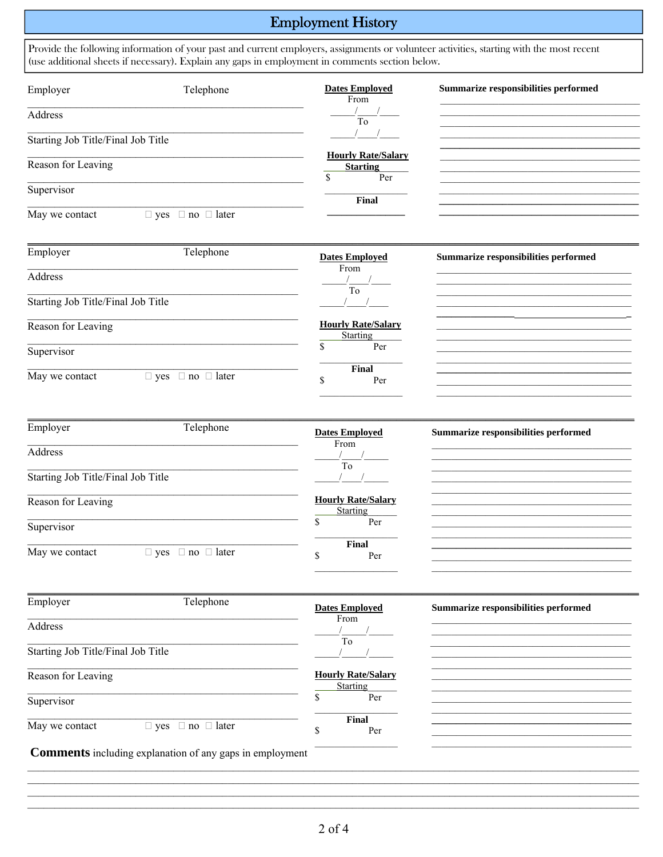## **Employment History**

| Employer                           | Telephone                         | <b>Dates Employed</b><br>From                      | Summarize responsibilities performed |
|------------------------------------|-----------------------------------|----------------------------------------------------|--------------------------------------|
| Address                            |                                   | $\frac{1}{\text{To}}$                              |                                      |
| Starting Job Title/Final Job Title |                                   |                                                    |                                      |
| Reason for Leaving                 |                                   | <b>Hourly Rate/Salary</b><br><b>Starting</b><br>\$ |                                      |
| Supervisor                         |                                   | Per<br>Final                                       |                                      |
| May we contact                     | $\Box$ yes $\Box$ no $\Box$ later |                                                    |                                      |
| Employer                           | Telephone                         | <b>Dates Employed</b>                              | Summarize responsibilities performed |
| Address                            |                                   | From<br>$\frac{1}{10}$                             |                                      |
| Starting Job Title/Final Job Title |                                   |                                                    |                                      |
| Reason for Leaving                 |                                   | <b>Hourly Rate/Salary</b><br>Starting              |                                      |
| Supervisor                         |                                   | \$<br>Per                                          |                                      |
| May we contact                     | $\Box$ yes $\Box$ no $\Box$ later | Final<br>\$<br>Per                                 |                                      |
| Employer                           | Telephone                         | <b>Dates Employed</b>                              | Summarize responsibilities performed |
| Address                            |                                   | From<br>$\frac{1}{\text{To}}$                      |                                      |
| Starting Job Title/Final Job Title |                                   |                                                    |                                      |
| Reason for Leaving                 |                                   | <b>Hourly Rate/Salary</b><br>Starting              |                                      |
| Supervisor                         |                                   | \$<br>Per                                          |                                      |
| May we contact                     | $\Box$ yes $\Box$ no $\Box$ later | Final<br>\$<br>Per                                 |                                      |
| Employer                           | Telephone                         | <b>Dates Employed</b>                              | Summarize responsibilities performed |
| Address                            |                                   | From                                               |                                      |
| Starting Job Title/Final Job Title |                                   | $\overline{To}$                                    |                                      |
| Reason for Leaving                 |                                   | <b>Hourly Rate/Salary</b><br><b>Starting</b>       |                                      |
| Supervisor                         |                                   | \$<br>Per                                          |                                      |
| May we contact                     | $\Box$ yes $\Box$ no $\Box$ later | Final                                              |                                      |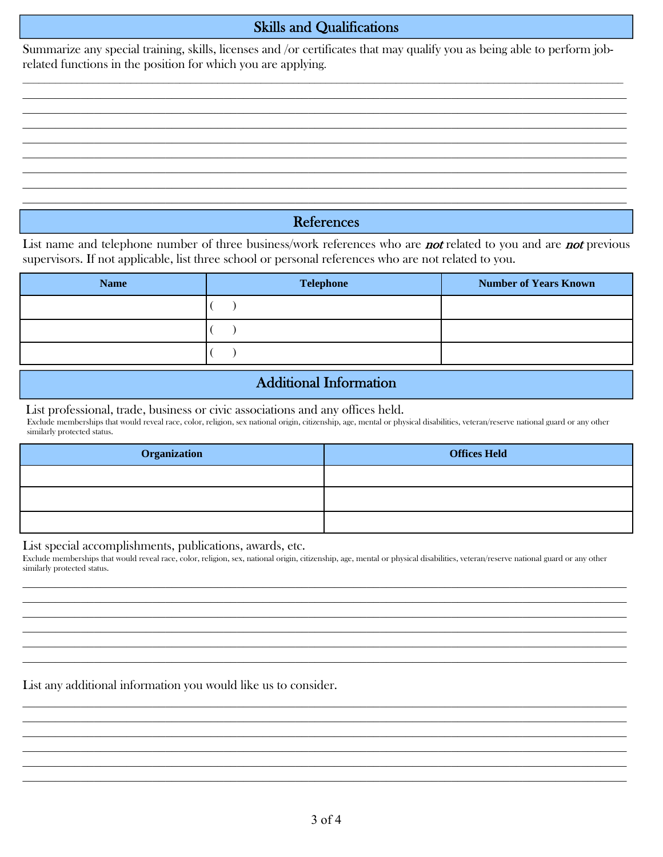#### Skills and Qualifications

Summarize any special training, skills, licenses and /or certificates that may qualify you as being able to perform jobrelated functions in the position for which you are applying.

 $\_$  , and the contribution of the contribution of the contribution of the contribution of the contribution of  $\mathcal{L}_\mathrm{max}$  $\_$  , and the contribution of the contribution of the contribution of the contribution of the contribution of  $\mathcal{L}_\mathrm{max}$  $\mathcal{L}_\mathcal{L} = \mathcal{L}_\mathcal{L} = \mathcal{L}_\mathcal{L} = \mathcal{L}_\mathcal{L} = \mathcal{L}_\mathcal{L} = \mathcal{L}_\mathcal{L} = \mathcal{L}_\mathcal{L} = \mathcal{L}_\mathcal{L} = \mathcal{L}_\mathcal{L} = \mathcal{L}_\mathcal{L} = \mathcal{L}_\mathcal{L} = \mathcal{L}_\mathcal{L} = \mathcal{L}_\mathcal{L} = \mathcal{L}_\mathcal{L} = \mathcal{L}_\mathcal{L} = \mathcal{L}_\mathcal{L} = \mathcal{L}_\mathcal{L}$  $\_$  , and the contribution of the contribution of the contribution of the contribution of the contribution of  $\mathcal{L}_\mathrm{max}$  $\_$  , and the contribution of the contribution of the contribution of the contribution of the contribution of  $\mathcal{L}_\mathrm{max}$  $\_$  , and the contribution of the contribution of the contribution of the contribution of the contribution of  $\mathcal{L}_\mathrm{max}$  $\_$  , and the contribution of the contribution of the contribution of the contribution of the contribution of  $\mathcal{L}_\mathrm{max}$  $\mathcal{L}_\mathcal{L} = \mathcal{L}_\mathcal{L} = \mathcal{L}_\mathcal{L} = \mathcal{L}_\mathcal{L} = \mathcal{L}_\mathcal{L} = \mathcal{L}_\mathcal{L} = \mathcal{L}_\mathcal{L} = \mathcal{L}_\mathcal{L} = \mathcal{L}_\mathcal{L} = \mathcal{L}_\mathcal{L} = \mathcal{L}_\mathcal{L} = \mathcal{L}_\mathcal{L} = \mathcal{L}_\mathcal{L} = \mathcal{L}_\mathcal{L} = \mathcal{L}_\mathcal{L} = \mathcal{L}_\mathcal{L} = \mathcal{L}_\mathcal{L}$ 

#### References

List name and telephone number of three business/work references who are **not** related to you and are **not** previous supervisors. If not applicable, list three school or personal references who are not related to you.

| <b>Name</b> | <b>Telephone</b> | <b>Number of Years Known</b> |
|-------------|------------------|------------------------------|
|             |                  |                              |
|             |                  |                              |
|             |                  |                              |

### Additional Information

List professional, trade, business or civic associations and any offices held.

 Exclude memberships that would reveal race, color, religion, sex national origin, citizenship, age, mental or physical disabilities, veteran/reserve national guard or any other similarly protected status.

| Organization | <b>Offices Held</b> |
|--------------|---------------------|
|              |                     |
|              |                     |
|              |                     |

List special accomplishments, publications, awards, etc.

Exclude memberships that would reveal race, color, religion, sex, national origin, citizenship, age, mental or physical disabilities, veteran/reserve national guard or any other similarly protected status.  $\_$  , and the contribution of the contribution of the contribution of the contribution of the contribution of  $\mathcal{L}_\mathrm{max}$ 

 $\_$  , and the contribution of the contribution of the contribution of the contribution of the contribution of  $\mathcal{L}_\mathrm{max}$  $\_$  , and the contribution of the contribution of the contribution of the contribution of the contribution of  $\mathcal{L}_\mathrm{max}$  $\_$  , and the contribution of the contribution of the contribution of the contribution of the contribution of  $\mathcal{L}_\mathrm{max}$  $\mathcal{L}_\mathcal{L} = \mathcal{L}_\mathcal{L} = \mathcal{L}_\mathcal{L} = \mathcal{L}_\mathcal{L} = \mathcal{L}_\mathcal{L} = \mathcal{L}_\mathcal{L} = \mathcal{L}_\mathcal{L} = \mathcal{L}_\mathcal{L} = \mathcal{L}_\mathcal{L} = \mathcal{L}_\mathcal{L} = \mathcal{L}_\mathcal{L} = \mathcal{L}_\mathcal{L} = \mathcal{L}_\mathcal{L} = \mathcal{L}_\mathcal{L} = \mathcal{L}_\mathcal{L} = \mathcal{L}_\mathcal{L} = \mathcal{L}_\mathcal{L}$  $\_$  , and the contribution of the contribution of the contribution of the contribution of the contribution of  $\mathcal{L}_\text{max}$ 

 $\_$  , and the contribution of the contribution of the contribution of the contribution of the contribution of  $\mathcal{L}_\mathrm{max}$  $\_$  , and the contribution of the contribution of the contribution of the contribution of the contribution of  $\mathcal{L}_\mathrm{max}$  $\_$  , and the contribution of the contribution of the contribution of the contribution of the contribution of  $\mathcal{L}_\mathrm{max}$  $\_$  , and the contribution of the contribution of the contribution of the contribution of the contribution of  $\mathcal{L}_\mathrm{max}$  $\mathcal{L}_\mathcal{L} = \mathcal{L}_\mathcal{L} = \mathcal{L}_\mathcal{L} = \mathcal{L}_\mathcal{L} = \mathcal{L}_\mathcal{L} = \mathcal{L}_\mathcal{L} = \mathcal{L}_\mathcal{L} = \mathcal{L}_\mathcal{L} = \mathcal{L}_\mathcal{L} = \mathcal{L}_\mathcal{L} = \mathcal{L}_\mathcal{L} = \mathcal{L}_\mathcal{L} = \mathcal{L}_\mathcal{L} = \mathcal{L}_\mathcal{L} = \mathcal{L}_\mathcal{L} = \mathcal{L}_\mathcal{L} = \mathcal{L}_\mathcal{L}$  $\_$  , and the contribution of the contribution of the contribution of the contribution of the contribution of  $\mathcal{L}_\text{max}$ 

List any additional information you would like us to consider.